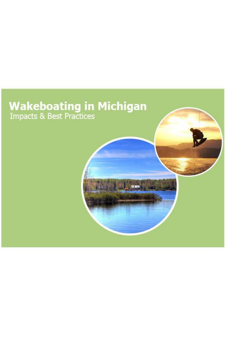# **Wakeboating in Michigan**<br>Impacts & Best Practices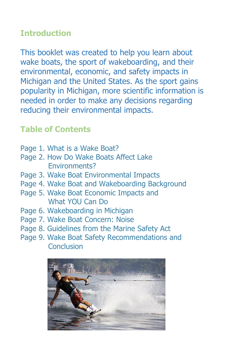#### **Introduction**

This booklet was created to help you learn about wake boats, the sport of wakeboarding, and their environmental, economic, and safety impacts in Michigan and the United States. As the sport gains popularity in Michigan, more scientific information is needed in order to make any decisions regarding reducing their environmental impacts.

### **Table of Contents**

- Page 1. What is a Wake Boat?
- Page 2. How Do Wake Boats Affect Lake Environments?
- Page 3. Wake Boat Environmental Impacts
- Page 4. Wake Boat and Wakeboarding Background
- Page 5. Wake Boat Economic Impacts and What YOU Can Do
- Page 6. Wakeboarding in Michigan
- Page 7. Wake Boat Concern: Noise
- Page 8. Guidelines from the Marine Safety Act
- Page 9. Wake Boat Safety Recommendations and **Conclusion**

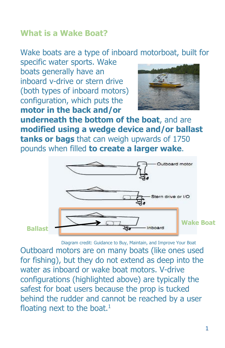#### **What is a Wake Boat?**

## Wake boats are a type of inboard motorboat, built for

specific water sports. Wake boats generally have an inboard v-drive or stern drive (both types of inboard motors) configuration, which puts the **motor in the back and/or**



**underneath the bottom of the boat**, and are **modified using a wedge device and/or ballast tanks or bags** that can weigh upwards of 1750 pounds when filled **to create a larger wake**.



**Ballast**

Diagram credit: Guidance to Buy, Maintain, and Improve Your Boat

Outboard motors are on many boats (like ones used for fishing), but they do not extend as deep into the water as inboard or wake boat motors. V-drive configurations (highlighted above) are typically the safest for boat users because the prop is tucked behind the rudder and cannot be reached by a user floating next to the boat. $<sup>1</sup>$ </sup>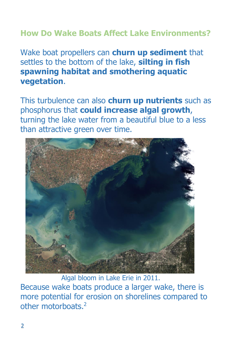#### **How Do Wake Boats Affect Lake Environments?**

Wake boat propellers can **churn up sediment** that settles to the bottom of the lake, **silting in fish spawning habitat and smothering aquatic vegetation**.

This turbulence can also **churn up nutrients** such as phosphorus that **could increase algal growth**, turning the lake water from a beautiful blue to a less than attractive green over time.



Algal bloom in Lake Erie in 2011.

Because wake boats produce a larger wake, there is more potential for erosion on shorelines compared to other motorboats.<sup>2</sup>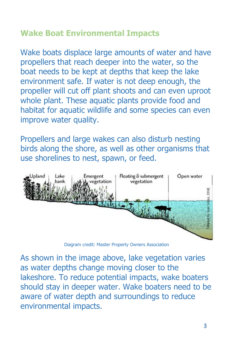#### **Wake Boat Environmental Impacts**

Wake boats displace large amounts of water and have propellers that reach deeper into the water, so the boat needs to be kept at depths that keep the lake environment safe. If water is not deep enough, the propeller will cut off plant shoots and can even uproot whole plant. These aquatic plants provide food and habitat for aquatic wildlife and some species can even improve water quality.

Propellers and large wakes can also disturb nesting birds along the shore, as well as other organisms that use shorelines to nest, spawn, or feed.



Diagram credit: Master Property Owners Association

As shown in the image above, lake vegetation varies as water depths change moving closer to the lakeshore. To reduce potential impacts, wake boaters should stay in deeper water. Wake boaters need to be aware of water depth and surroundings to reduce environmental impacts.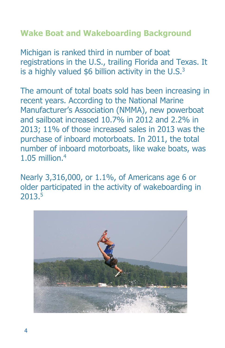#### **Wake Boat and Wakeboarding Background**

Michigan is ranked third in number of boat registrations in the U.S., trailing Florida and Texas. It is a highly valued  $$6$  billion activity in the U.S. $3$ 

The amount of total boats sold has been increasing in recent years. According to the National Marine Manufacturer's Association (NMMA), new powerboat and sailboat increased 10.7% in 2012 and 2.2% in 2013; 11% of those increased sales in 2013 was the purchase of inboard motorboats. In 2011, the total number of inboard motorboats, like wake boats, was 1.05 million.<sup>4</sup>

Nearly 3,316,000, or 1.1%, of Americans age 6 or older participated in the activity of wakeboarding in 2013.5

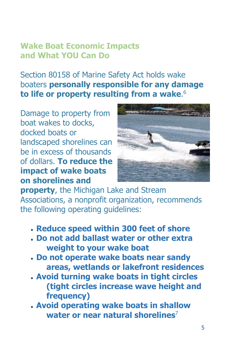#### **Wake Boat Economic Impacts and What YOU Can Do**

Section 80158 of Marine Safety Act holds wake boaters **personally responsible for any damage to life or property resulting from a wake**. 6

Damage to property from boat wakes to docks, docked boats or landscaped shorelines can be in excess of thousands of dollars. **To reduce the impact of wake boats on shorelines and**



**property**, the Michigan Lake and Stream Associations, a nonprofit organization, recommends the following operating guidelines:

- **Reduce speed within 300 feet of shore**
- **Do not add ballast water or other extra weight to your wake boat**
- **Do not operate wake boats near sandy areas, wetlands or lakefront residences**
- **Avoid turning wake boats in tight circles (tight circles increase wave height and frequency)**
- **Avoid operating wake boats in shallow water or near natural shorelines**<sup>7</sup>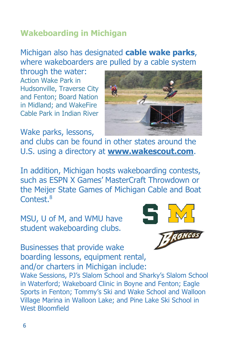#### **Wakeboarding in Michigan**

#### Michigan also has designated **cable wake parks**, where wakeboarders are pulled by a cable system

through the water: Action Wake Park in Hudsonville, Traverse City and Fenton; Board Nation in Midland; and WakeFire Cable Park in Indian River



Wake parks, lessons,

and clubs can be found in other states around the U.S. using a directory at **www.wakescout.com**.

In addition, Michigan hosts wakeboarding contests, such as ESPN X Games' MasterCraft Throwdown or the Meijer State Games of Michigan Cable and Boat Contest. 8

MSU, U of M, and WMU have student wakeboarding clubs.



Businesses that provide wake boarding lessons, equipment rental, and/or charters in Michigan include: Wake Sessions, PJ's Slalom School and Sharky's Slalom School in Waterford; Wakeboard Clinic in Boyne and Fenton; Eagle Sports in Fenton; Tommy's Ski and Wake School and Walloon Village Marina in Walloon Lake; and Pine Lake Ski School in West Bloomfield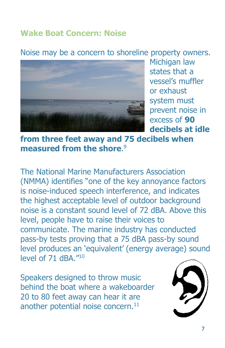#### **Wake Boat Concern: Noise**

#### Noise may be a concern to shoreline property owners.



Michigan law states that a vessel's muffler or exhaust system must prevent noise in excess of **90 decibels at idle**

#### **from three feet away and 75 decibels when measured from the shore**. 9

The National Marine Manufacturers Association (NMMA) identifies "one of the key annoyance factors is noise-induced speech interference, and indicates the highest acceptable level of outdoor background noise is a constant sound level of 72 dBA. Above this level, people have to raise their voices to communicate. The marine industry has conducted pass-by tests proving that a 75 dBA pass-by sound level produces an 'equivalent' (energy average) sound level of 71 dBA." 10

Speakers designed to throw music behind the boat where a wakeboarder 20 to 80 feet away can hear it are another potential noise concern. 11

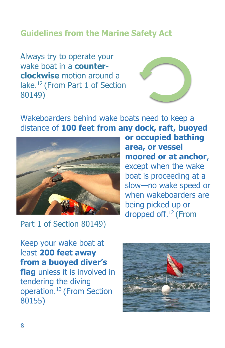#### **Guidelines from the Marine Safety Act**

Always try to operate your wake boat in a **counterclockwise** motion around a lake.<sup>12</sup> (From Part 1 of Section 80149)



Wakeboarders behind wake boats need to keep a distance of **100 feet from any dock, raft, buoyed**



Part 1 of Section 80149)

**or occupied bathing area, or vessel moored or at anchor**, except when the wake boat is proceeding at a slow—no wake speed or when wakeboarders are being picked up or dropped off.<sup>12</sup> (From

Keep your wake boat at least **200 feet away from a buoyed diver's flag** unless it is involved in tendering the diving operation.<sup>13</sup> (From Section 80155)

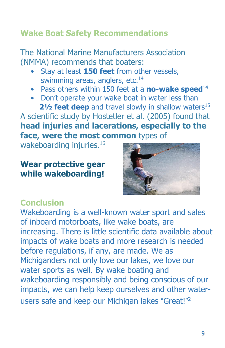#### **Wake Boat Safety Recommendations**

The National Marine Manufacturers Association (NMMA) recommends that boaters:

- Stay at least **150 feet** from other vessels, swimming areas, anglers, etc.<sup>14</sup>
- Pass others within 150 feet at a **no-wake speed**<sup>14</sup>
- Don't operate your wake boat in water less than **21/<sub>2</sub> feet deep** and travel slowly in shallow waters<sup>15</sup>

A scientific study by Hostetler et al. (2005) found that **head injuries and lacerations, especially to the face, were the most common** types of

wakeboarding injuries.<sup>16</sup>

#### **Wear protective gear while wakeboarding!**



#### **Conclusion**

Wakeboarding is a well-known water sport and sales of inboard motorboats, like wake boats, are increasing. There is little scientific data available about impacts of wake boats and more research is needed before regulations, if any, are made. We as Michiganders not only love our lakes, we love our water sports as well. By wake boating and wakeboarding responsibly and being conscious of our impacts, we can help keep ourselves and other waterusers safe and keep our Michigan lakes "Great!"<sup>2</sup>